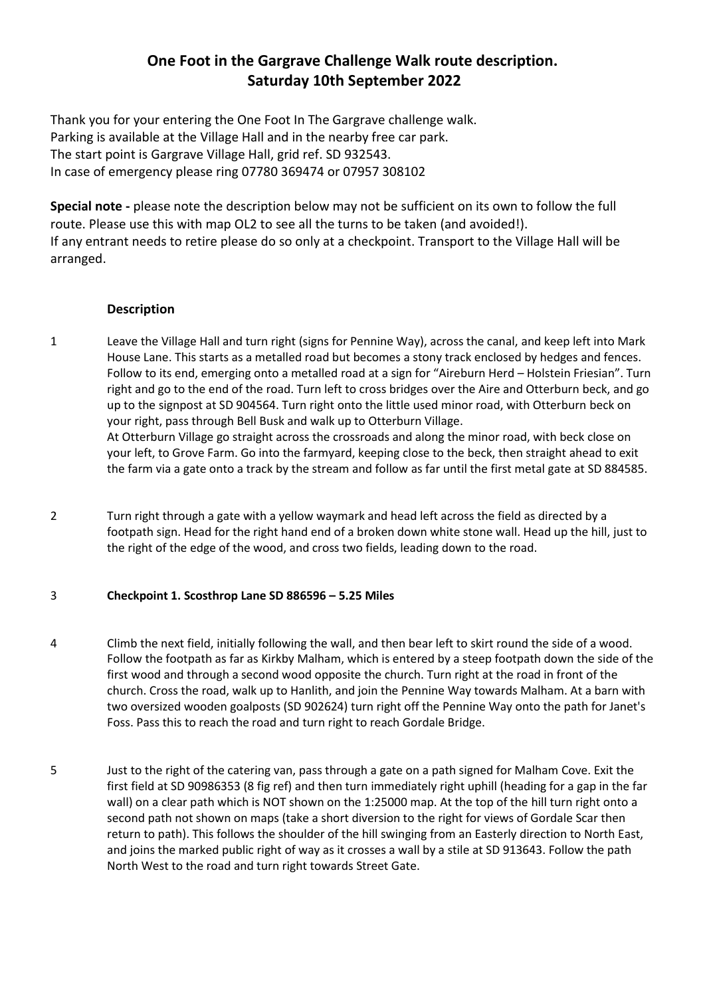# **One Foot in the Gargrave Challenge Walk route description. Saturday 10th September 2022**

Thank you for your entering the One Foot In The Gargrave challenge walk. Parking is available at the Village Hall and in the nearby free car park. The start point is Gargrave Village Hall, grid ref. SD 932543. In case of emergency please ring 07780 369474 or 07957 308102

**Special note -** please note the description below may not be sufficient on its own to follow the full route. Please use this with map OL2 to see all the turns to be taken (and avoided!). If any entrant needs to retire please do so only at a checkpoint. Transport to the Village Hall will be arranged.

## **Description**

- 1 Leave the Village Hall and turn right (signs for Pennine Way), across the canal, and keep left into Mark House Lane. This starts as a metalled road but becomes a stony track enclosed by hedges and fences. Follow to its end, emerging onto a metalled road at a sign for "Aireburn Herd – Holstein Friesian". Turn right and go to the end of the road. Turn left to cross bridges over the Aire and Otterburn beck, and go up to the signpost at SD 904564. Turn right onto the little used minor road, with Otterburn beck on your right, pass through Bell Busk and walk up to Otterburn Village. At Otterburn Village go straight across the crossroads and along the minor road, with beck close on your left, to Grove Farm. Go into the farmyard, keeping close to the beck, then straight ahead to exit the farm via a gate onto a track by the stream and follow as far until the first metal gate at SD 884585.
- 2 Turn right through a gate with a yellow waymark and head left across the field as directed by a footpath sign. Head for the right hand end of a broken down white stone wall. Head up the hill, just to the right of the edge of the wood, and cross two fields, leading down to the road.

### 3 **Checkpoint 1. Scosthrop Lane SD 886596 – 5.25 Miles**

- 4 Climb the next field, initially following the wall, and then bear left to skirt round the side of a wood. Follow the footpath as far as Kirkby Malham, which is entered by a steep footpath down the side of the first wood and through a second wood opposite the church. Turn right at the road in front of the church. Cross the road, walk up to Hanlith, and join the Pennine Way towards Malham. At a barn with two oversized wooden goalposts (SD 902624) turn right off the Pennine Way onto the path for Janet's Foss. Pass this to reach the road and turn right to reach Gordale Bridge.
- 5 Just to the right of the catering van, pass through a gate on a path signed for Malham Cove. Exit the first field at SD 90986353 (8 fig ref) and then turn immediately right uphill (heading for a gap in the far wall) on a clear path which is NOT shown on the 1:25000 map. At the top of the hill turn right onto a second path not shown on maps (take a short diversion to the right for views of Gordale Scar then return to path). This follows the shoulder of the hill swinging from an Easterly direction to North East, and joins the marked public right of way as it crosses a wall by a stile at SD 913643. Follow the path North West to the road and turn right towards Street Gate.